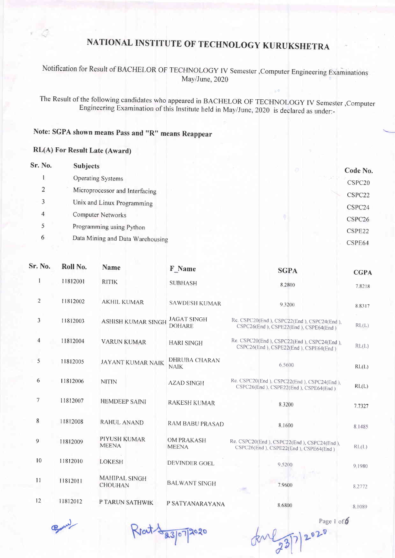#### Notification for Result of BACHELOR oF TECHNoLOGy IV Semester ,computer Engineering Examinations May/June, 2020

The Result of the following candidates who appeared in BACHELOR OF TECHNOLOGY IV Semester, Computer Engineering Examination of this Institute held in May/June, 2020 is declared as under:-

#### Note: SGPA shown means pass and "R" means Reappear

#### RL(A) For Result Late (Award)

| Sr. No. | <b>Subjects</b>                  |                | Code No.           |
|---------|----------------------------------|----------------|--------------------|
|         | Operating Systems                | . 21. KG 13. . | CSPC20             |
| 2       | Microprocessor and Interfacing   |                | CSPC22             |
| 3       | Unix and Linux Programming       |                | CSPC24             |
| 4       | <b>Computer Networks</b>         |                | CSPC <sub>26</sub> |
| 5       | Programming using Python         |                | CSPE22             |
| 6       | Data Mining and Data Warehousing |                | CSPE64             |

| <b>Sr. No.</b> | Roll No. | <b>Name</b>                            | F Name                              | <b>SGPA</b>                                                                         | <b>CGPA</b> |
|----------------|----------|----------------------------------------|-------------------------------------|-------------------------------------------------------------------------------------|-------------|
|                | 11812001 | <b>RITIK</b>                           | <b>SUBHASH</b>                      | 8.2800                                                                              | 7.8218      |
| $\overline{2}$ | 11812002 | <b>AKHIL KUMAR</b>                     | <b>SAWDESH KUMAR</b>                | 9.3200                                                                              | 88317       |
| 3              | 11812003 | ASHISH KUMAR SINGH                     | <b>JAGAT SINGH</b><br><b>DOHARE</b> | Re. CSPC20(End), CSPC22(End), CSPC24(End),<br>CSPC26(End), CSPE22(End), CSPE64(End) | RL(L)       |
| $\overline{4}$ | 11812004 | <b>VARUN KUMAR</b>                     | <b>HARI SINGH</b>                   | Re. CSPC20(End), CSPC22(End), CSPC24(End),<br>CSPC26(End), CSPE22(End), CSPE64(End) | RL(L)       |
| 5              | 11812005 | <b>JAYANT KUMAR NAIK</b>               | <b>DHRUBA CHARAN</b><br><b>NAIK</b> | 6.5600                                                                              | RL(1.)      |
| 6              | 11812006 | <b>NITIN</b>                           | <b>AZAD SINGH</b>                   | Re. CSPC20(End), CSPC22(End), CSPC24(End),<br>CSPC26(End), CSPE22(End), CSPE64(End) | RL(L)       |
| 7              | 11812007 | <b>HEMDEEP SAINI</b>                   | <b>RAKESH KUMAR</b>                 | 8.3200                                                                              | 7.7327      |
| 8              | 11812008 | <b>RAHUL ANAND</b>                     | RAM BABU PRASAD                     | 8.1600                                                                              | 8.1485      |
| 9              | 11812009 | PIYUSH KUMAR<br><b>MEENA</b>           | <b>OM PRAKASH</b><br><b>MEENA</b>   | Re. CSPC20(End), CSPC22(End), CSPC24(End),<br>CSPC26(End), CSPE22(End), CSPE64(End) | RL(L)       |
| 10             | 11812010 | <b>LOKESH</b>                          | DEVINDER GOEL                       | 9 5 2 0 0                                                                           | 9.1980      |
| 11             | 11812011 | <b>MAHIPAL SINGH</b><br><b>CHOUHAN</b> | <b>BALWANT SINGH</b>                | 7.9600<br>$-4195$                                                                   | 8.2772      |
| 12             | 11812012 | P TARUN SATHWIK                        | P SATYANARAYANA                     | 8.6800                                                                              | 8.1089      |
|                |          |                                        |                                     |                                                                                     |             |

erlr

Reat 8 23/07/2020

Page 1 of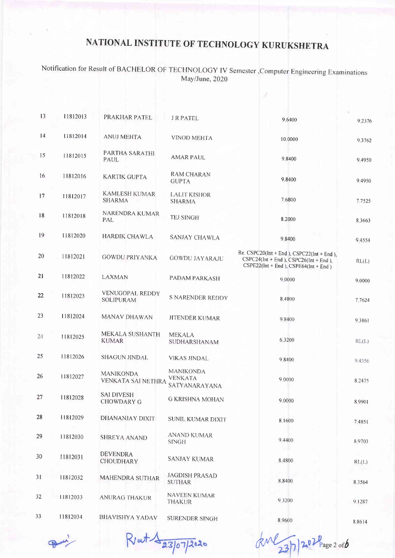Notification for Result of BACHELOR OF TECHNOLOGY IV Semester , Computer Engineering Examinations May/June, 2020

| 13 | 11812013 | PRAKHAR PATEL                              | <b>J R PATEL</b>                                    | 9.6400                                                                                                                           | 9.2376    |
|----|----------|--------------------------------------------|-----------------------------------------------------|----------------------------------------------------------------------------------------------------------------------------------|-----------|
| 14 | 11812014 | <b>ANUJ MEHTA</b>                          | <b>VINOD MEHTA</b>                                  | 10.0000                                                                                                                          | 9 3 7 6 2 |
| 15 | 11812015 | PARTHA SARATHI<br>PAUL                     | <b>AMAR PAUL</b>                                    | 9 8400                                                                                                                           | 9.4950    |
| 16 | 11812016 | <b>KARTIK GUPTA</b>                        | <b>RAM CHARAN</b><br><b>GUPTA</b>                   | 9.8400                                                                                                                           | 9.4950    |
| 17 | 11812017 | KAMLESH KUMAR<br><b>SHARMA</b>             | <b>LALIT KISHOR</b><br><b>SHARMA</b>                | 7.6800                                                                                                                           | 7.7525    |
| 18 | 11812018 | NARENDRA KUMAR<br>PAL                      | <b>TEJ SINGH</b>                                    | 8.2000                                                                                                                           | 8.3663    |
| 19 | 11812020 | <b>HARDIK CHAWLA</b>                       | SANJAY CHAWLA                                       | 9.8400                                                                                                                           | 94554     |
| 20 | 11812021 | <b>GOWDU PRIYANKA</b>                      | <b>GOWDU JAYARAJU</b>                               | Re. CSPC20(Int + End ), CSPC22(Int + End ),<br>$CSPC24(int + End), CSPC26(int + End),$<br>$CSPE22(int + End), CSPE64(int + End)$ | RL(L)     |
| 21 | 11812022 | LAXMAN                                     | PADAM PARKASH                                       | 9.0000                                                                                                                           | 9.0000    |
| 22 | 11812023 | <b>VENUGOPAL REDDY</b><br><b>SOLIPURAM</b> | S NARENDER REDDY                                    | 8.4800                                                                                                                           | 7.7624    |
| 23 | 11812024 | MANAV DHAWAN                               | <b>JITENDER KUMAR</b>                               | 9.8400                                                                                                                           | 9.3861    |
| 24 | 11812025 | MEKALA SUSHANTH<br><b>KUMAR</b>            | <b>MEKALA</b><br>SUDHARSHANAM                       | 6.3200                                                                                                                           | RL(L)     |
| 25 | 11812026 | <b>SHAGUN JINDAL</b>                       | <b>VIKAS JINDAL</b>                                 | 9,8400                                                                                                                           | 9.4356    |
| 26 | 11812027 | <b>MANIKONDA</b><br>VENKATA SAI NETHRA     | <b>MANIKONDA</b><br><b>VENKATA</b><br>SATYANARAYANA | 9 0000                                                                                                                           | 8.2475    |
| 27 | 11812028 | <b>SAI DIVESH</b><br><b>CHOWDARY G</b>     | <b>G KRISHNA MOHAN</b>                              | 9.0000                                                                                                                           | 8.9901    |
| 28 | 11812029 | DHANANJAY DIXIT                            | SUNIL KUMAR DIXIT                                   | 8.1600                                                                                                                           | 7.4851    |
| 29 | 11812030 | <b>SHREYA ANAND</b>                        | ANAND KUMAR<br><b>SINGH</b>                         | 9 4 4 0 0                                                                                                                        | 8.9703    |
| 30 | 11812031 | <b>DEVENDRA</b><br><b>CHOUDHARY</b>        | <b>SANJAY KUMAR</b>                                 | 8.4800                                                                                                                           | RL(L)     |
| 31 | 11812032 | <b>MAHENDRA SUTHAR</b>                     | <b>JAGDISH PRASAD</b><br><b>SUTHAR</b>              | 8,8400                                                                                                                           | 8.3564    |
| 32 | 11812033 | <b>ANURAG THAKUR</b>                       | NAVEEN KUMAR<br>THAKUR                              | 9.3200                                                                                                                           | 9.1287    |
| 33 | 11812034 | <b>BHAVISHYA YADAV</b>                     | <b>SURENDER SINGH</b>                               | 8.9600                                                                                                                           | 88614     |

Rent 1 23/07/2020

de 23/7/202 Page 2 orb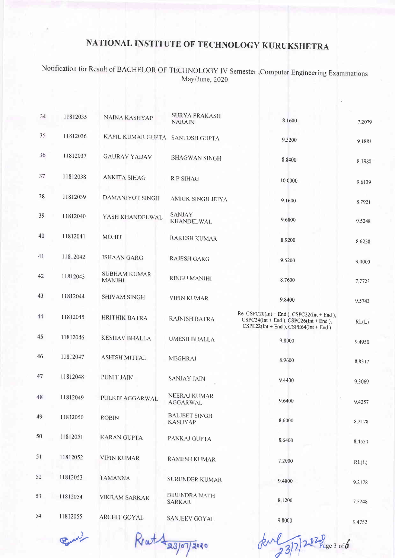Notification for Result of BACHELOR OF TECHNOLOGY IV Semester , Computer Engineering Examinations May/June,2020

| 34 | 11812035 | NAINA KASHYAP                        | <b>SURYA PRAKASH</b><br><b>NARAIN</b>  | 8.1600                                                                                                                               | 7.2079 |
|----|----------|--------------------------------------|----------------------------------------|--------------------------------------------------------------------------------------------------------------------------------------|--------|
| 35 | 11812036 | KAPIL KUMAR GUPTA SANTOSH GUPTA      |                                        | 9.3200                                                                                                                               | 9.1881 |
| 36 | 11812037 | <b>GAURAV YADAV</b>                  | <b>BHAGWAN SINGH</b>                   | 8.8400                                                                                                                               | 8.1980 |
| 37 | 11812038 | ANKITA SIHAG                         | <b>RP SIHAG</b>                        | 10.0000                                                                                                                              | 9.6139 |
| 38 | 11812039 | DAMANJYOT SINGH                      | <b>AMRIK SINGH JEIYA</b>               | 9.1600                                                                                                                               | 8.7921 |
| 39 | 11812040 | YASH KHANDELWAL                      | <b>SANJAY</b><br><b>KHANDELWAL</b>     | 9.6800                                                                                                                               | 9.5248 |
| 40 | 11812041 | <b>MOHIT</b>                         | <b>RAKESH KUMAR</b>                    | 8.9200                                                                                                                               | 8.6238 |
| 41 | 11812042 | <b>ISHAAN GARG</b>                   | <b>RAJESH GARG</b>                     | 9.5200                                                                                                                               | 9.0000 |
| 42 | 11812043 | <b>SUBHAM KUMAR</b><br><b>MANJHI</b> | RINGU MANJHI                           | 8.7600                                                                                                                               | 7.7723 |
| 43 | 11812044 | <b>SHIVAM SINGH</b>                  | <b>VIPIN KUMAR</b>                     | 9.8400                                                                                                                               | 9.5743 |
| 44 | 11812045 | <b>HRITHIK BATRA</b>                 | RAJNISH BATRA                          | Re. $CSPC20(lnt + End)$ , $CSPC22(lnt + End)$ ,<br>$CSPC24(int + End), CSPC26(int + End),$<br>$CSPE22(int + End), CSPE64(int + End)$ | RL(L)  |
| 45 | 11812046 | <b>KESHAV BHALLA</b>                 | <b>UMESH BHALLA</b>                    | 9.8000                                                                                                                               | 94950  |
| 46 | 11812047 | <b>ASHISH MITTAL</b>                 | <b>MEGHRAJ</b>                         | 8.9600                                                                                                                               | 8.8317 |
| 47 | 11812048 | PUNIT JAIN                           | <b>SANJAY JAIN</b>                     | 9.4400                                                                                                                               | 9.3069 |
| 48 | 11812049 | PULKIT AGGARWAL                      | NEERAJ KUMAR<br><b>AGGARWAL</b>        | 9.6400                                                                                                                               | 9.4257 |
| 49 | 11812050 | <b>ROBIN</b>                         | <b>BALJEET SINGH</b><br><b>KASHYAP</b> | 8.6000                                                                                                                               | 8.2178 |
| 50 | 11812051 | <b>KARAN GUPTA</b>                   | PANKAJ GUPTA                           | 8.6400                                                                                                                               | 84554  |
| 51 | 11812052 | <b>VIPIN KUMAR</b>                   | RAMESH KUMAR                           | 7.2000                                                                                                                               | RL(L)  |
| 52 | 11812053 | <b>TAMANNA</b>                       | <b>SURENDER KUMAR</b>                  | 9.4800                                                                                                                               | 9.2178 |
| 53 | 11812054 | <b>VIKRAM SARKAR</b>                 | <b>BIRENDRA NATH</b><br><b>SARKAR</b>  | 8.1200                                                                                                                               | 7.5248 |
| 54 | 11812055 | <b>ARCHIT GOYAL</b>                  | <b>SANJEEV GOYAL</b>                   | 9.8000                                                                                                                               | 9.4752 |

Pine !

Rrat 1 23/07/2020

kul 23/7/2020 Page 3 of6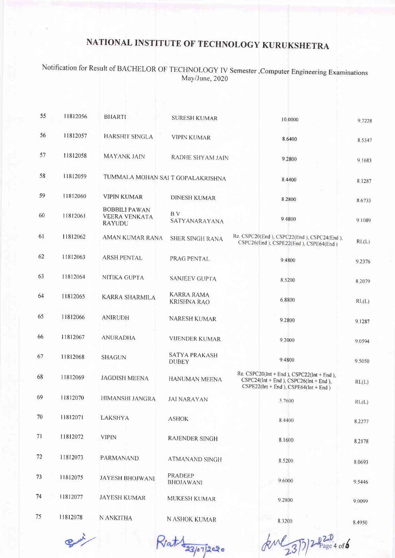#### Notification for Result of BACHELOR OF TECHNOLOGY IV Semester , Computer Engineering Examinations May/June, 2020

| 55 | 11812056 | <b>BHARTI</b>                                          | <b>SURESH KUMAR</b>                     | 10.0000                                                                                                                                | 9 7 2 2 8 |
|----|----------|--------------------------------------------------------|-----------------------------------------|----------------------------------------------------------------------------------------------------------------------------------------|-----------|
| 56 | 11812057 | <b>HARSHIT SINGLA</b>                                  | <b>VIPIN KUMAR</b>                      | 8.6400                                                                                                                                 | 8,5347    |
| 57 | 11812058 | <b>MAYANK JAIN</b>                                     | RADHE SHYAM JAIN                        | 9.2800                                                                                                                                 | 9.1683    |
| 58 | 11812059 | TUMMALA MOHAN SAI T GOPALAKRISHNA                      |                                         | 8.4400                                                                                                                                 | 8.1287    |
| 59 | 11812060 | <b>VIPIN KUMAR</b>                                     | <b>DINESH KUMAR</b>                     | 8,2800                                                                                                                                 | 8.6733    |
| 60 | 11812061 | <b>BOBBILI PAWAN</b><br><b>VEERA VENKATA</b><br>RAYUDU | B V<br>SATYANARAYANA                    | 9.4800                                                                                                                                 | 9.1089    |
| 61 | 11812062 | AMAN KUMAR RANA                                        | <b>SHER SINGH RANA</b>                  | Re. CSPC20(End), CSPC22(End), CSPC24(End),<br>CSPC26(End), CSPE22(End), CSPE64(End)                                                    | RL(L)     |
| 62 | 11812063 | <b>ARSH PENTAL</b>                                     | PRAG PENTAL                             | 9 4800                                                                                                                                 | 9.2376    |
| 63 | 11812064 | NITIKA GUPTA                                           | <b>SANJEEV GUPTA</b>                    | 8 5 200                                                                                                                                | 8.2079    |
| 64 | 11812065 | KARRA SHARMILA                                         | <b>KARRA RAMA</b><br><b>KRISHNA RAO</b> | 6,8800                                                                                                                                 | RL(L)     |
| 65 | 11812066 | <b>ANIRUDH</b>                                         | NARESH KUMAR                            | 9.2800                                                                                                                                 | 9 1 2 8 7 |
| 66 | 11812067 | <b>ANURADHA</b>                                        | <b>VIJENDER KUMAR</b>                   | 9,2000                                                                                                                                 | 9 0 5 9 4 |
| 67 | 11812068 | <b>SHAGUN</b>                                          | <b>SATYA PRAKASH</b><br><b>DUBEY</b>    | 9.4800                                                                                                                                 | 9,5050    |
| 68 | 11812069 | <b>JAGDISH MEENA</b>                                   | HANUMAN MEENA                           | Re. CSPC20( $Int + End$ ), CSPC22( $Int + End$ ),<br>$CSPC24(int + End), CSPC26(int + End),$<br>$CSPE22(int + End), CSPE64(int + End)$ | RL(L)     |
| 69 | 11812070 | <b>HIMANSHI JANGRA</b>                                 | <b>JAI NARAYAN</b>                      | 5.7600                                                                                                                                 | RL(L)     |
| 70 | 11812071 | <b>LAKSHYA</b>                                         | <b>ASHOK</b>                            | 8.4400                                                                                                                                 | 8.2277    |
| 71 | 11812072 | <b>VIPIN</b>                                           | RAJENDER SINGH                          | 8.1600                                                                                                                                 | 8.2178    |
| 72 | 11812073 | PARMANAND                                              | ATMANAND SINGH                          | 8 5 200                                                                                                                                | 8.0693    |
| 73 | 11812075 | <b>JAYESH BHOJWANI</b>                                 | <b>PRADEEP</b><br><b>BHOJAWANI</b>      | 9,6000                                                                                                                                 | 9.5446    |
| 74 | 11812077 | <b>JAYESH KUMAR</b>                                    | MUKESH KUMAR                            | 9.2800                                                                                                                                 | 9.0099    |
| 75 | 11812078 | N ANKITHA                                              | N ASHOK KUMAR                           | 8.3200                                                                                                                                 | 0.4050    |

Busi

Rat 33/07/2020

Jene 23/3/2 Page 4 of 6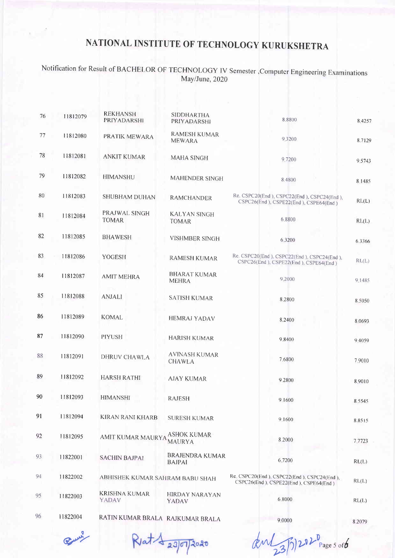#### Notification for Result of BACHELOR oF TECHNoLoGY IV Semester,computer Engineering Examinations May/June, 2020

| 76 | 11812079 | <b>REKHANSH</b><br>PRIYADARSHI       | <b>SIDDHARTHA</b><br>PRIYADARSHI        | 8 8 8 0 0                                                                           | 8.4257    |
|----|----------|--------------------------------------|-----------------------------------------|-------------------------------------------------------------------------------------|-----------|
| 77 | 11812080 | PRATIK MEWARA                        | <b>RAMESH KUMAR</b><br><b>MEWARA</b>    | 9.3200                                                                              | 8.7129    |
| 78 | 11812081 | <b>ANKIT KUMAR</b>                   | <b>MAHA SINGH</b>                       | 9.7200                                                                              | 9.5743    |
| 79 | 11812082 | <b>HIMANSHU</b>                      | MAHENDER SINGH                          | 8.4800                                                                              | 8.1485    |
| 80 | 11812083 | SHUBHAM DUHAN                        | <b>RAMCHANDER</b>                       | Re. CSPC20(End), CSPC22(End), CSPC24(End),<br>CSPC26(End), CSPE22(End), CSPE64(End) | RL(L)     |
| 81 | 11812084 | PRAJWAL SINGH<br><b>TOMAR</b>        | <b>KALYAN SINGH</b><br><b>TOMAR</b>     | 6.8800                                                                              | RL(L)     |
| 82 | 11812085 | <b>BHAWESH</b>                       | <b>VISHMBER SINGH</b>                   | 6 3 2 0 0                                                                           | 6.3366    |
| 83 | 11812086 | <b>YOGESH</b>                        | <b>RAMESH KUMAR</b>                     | Re. CSPC20(End), CSPC22(End), CSPC24(End),<br>CSPC26(End), CSPE22(End), CSPE64(End) | RL(L)     |
| 84 | 11812087 | <b>AMIT MEHRA</b>                    | <b>BHARAT KUMAR</b><br><b>MEHRA</b>     | 9.2000                                                                              | 9 1485    |
| 85 | 11812088 | <b>ANJALI</b>                        | <b>SATISH KUMAR</b>                     | 8.2800                                                                              | 8.5050    |
| 86 | 11812089 | <b>KOMAL</b>                         | <b>HEMRAJ YADAV</b>                     | 8.2400                                                                              | 8 0 6 9 3 |
| 87 | 11812090 | <b>PIYUSH</b>                        | <b>HARISH KUMAR</b>                     | 9.8400                                                                              | 94059     |
| 88 | 11812091 | DHRUV CHAWLA                         | <b>AVINASH KUMAR</b><br><b>CHAWLA</b>   | 7.6800                                                                              | 7.9010    |
| 89 | 11812092 | <b>HARSH RATHI</b>                   | <b>AJAY KUMAR</b>                       | 9.2800                                                                              | 8 9010    |
| 90 | 11812093 | <b>HIMANSHI</b>                      | <b>RAJESH</b>                           | 9.1600                                                                              | 8.5545    |
| 91 | 11812094 | KIRAN RANI KHARB                     | <b>SURESH KUMAR</b>                     | 9 1600                                                                              | 8.8515    |
| 92 | 11812095 | AMIT KUMAR MAURYA                    | <b>ASHOK KUMAR</b><br><b>MAURYA</b>     | 8.2000                                                                              | 7.7723    |
| 93 | 11822001 | <b>SACHIN BAJPAI</b>                 | <b>BRAJENDRA KUMAR</b><br><b>BAJPAI</b> | 6,7200                                                                              | RL(L)     |
| 94 | 11822002 | ABHISHEK KUMAR SAHRAM BABU SHAH      |                                         | Re. CSPC20(End), CSPC22(End). CSPC24(End),<br>CSPC26(End), CSPE22(End), CSPE64(End) | RL(L)     |
| 95 | 11822003 | <b>KRISHNA KUMAR</b><br><b>YADAV</b> | <b>HIRDAY NARAYAN</b><br><b>YADAV</b>   | 6 8000                                                                              | RL(L)     |
| 96 | 11822004 | RATIN KUMAR BRALA RAJKUMAR BRALA     |                                         | 9.0000                                                                              | 8 2079    |

 $R$ at  $\frac{1}{23}$ 07/2020

 $d\nu$   $\sqrt{35/202^0}$  Page 5 of  $6$